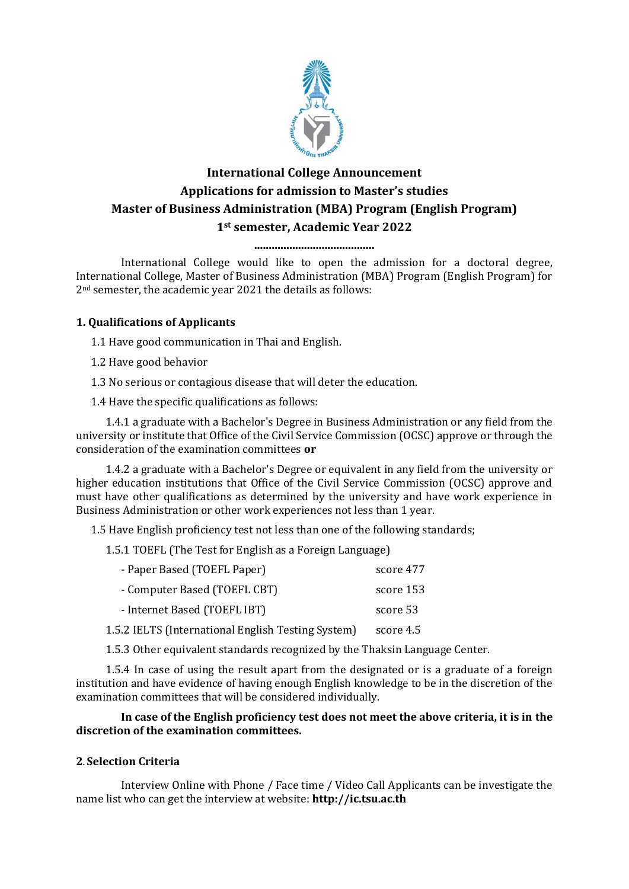

# **International College Announcement Applications for admission to Master's studies Master of Business Administration (MBA) Program (English Program) 1st semester, Academic Year 2022**

**.........................................**

International College would like to open the admission for a doctoral degree, International College, Master of Business Administration (MBA) Program (English Program) for 2nd semester, the academic year 2021 the details as follows:

# **1. Qualifications of Applicants**

1.1 Have good communication in Thai and English.

1.2 Have good behavior

1.3 No serious or contagious disease that will deter the education.

1.4 Have the specific qualifications as follows:

1.4.1 a graduate with a Bachelor's Degree in Business Administration or any field from the university or institute that Office of the Civil Service Commission (OCSC) approve or through the consideration of the examination committees **or**

1.4.2 a graduate with a Bachelor's Degree or equivalent in any field from the university or higher education institutions that Office of the Civil Service Commission (OCSC) approve and must have other qualifications as determined by the university and have work experience in Business Administration or other work experiences not less than 1 year.

1.5 Have English proficiency test not less than one of the following standards;

1.5.1 TOEFL (The Test for English as a Foreign Language)

| - Paper Based (TOEFL Paper)                        | score 477 |
|----------------------------------------------------|-----------|
| - Computer Based (TOEFL CBT)                       | score 153 |
| - Internet Based (TOEFL IBT)                       | score 53  |
| 1.5.2 IELTS (International English Testing System) | score 4.5 |

1.5.3 Other equivalent standards recognized by the Thaksin Language Center.

1.5.4 In case of using the result apart from the designated or is a graduate of a foreign institution and have evidence of having enough English knowledge to be in the discretion of the examination committees that will be considered individually.

# **In case of the English proficiency test does not meet the above criteria, it is in the discretion of the examination committees.**

# **2. Selection Criteria**

Interview Online with Phone / Face time / Video Call Applicants can be investigate the name list who can get the interview at website: **http://ic.tsu.ac.th**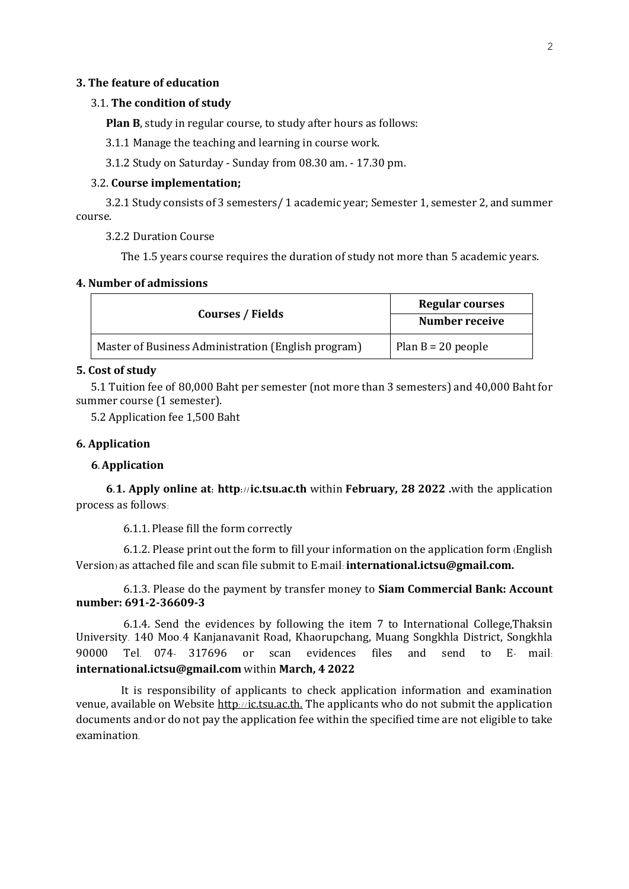#### **3. The feature of education**

#### 3.1. **The condition of study**

**Plan B**, study in regular course, to study after hours as follows:

3.1.1 Manage the teaching and learning in course work.

3.1.2 Study on Saturday - Sunday from 08.30 am. - 17.30 pm.

#### 3.2. **Course implementation;**

3.2.1 Study consists of 3 semesters/ 1 academic year; Semester 1, semester 2, and summer course.

3.2.2 Duration Course

The 1.5 years course requires the duration of study not more than 5 academic years.

#### **4. Number of admissions**

|                                                     | <b>Regular courses</b> |
|-----------------------------------------------------|------------------------|
| <b>Courses / Fields</b>                             | <b>Number receive</b>  |
| Master of Business Administration (English program) | Plan $B = 20$ people   |

## **5. Cost of study**

5.1 Tuition fee of 80,000 Baht per semester (not more than 3 semesters) and 40,000 Baht for summer course (1 semester).

5.2 Application fee 1,500 Baht

### **6. Application**

### **6. Application**

**6.1. Apply online at: http: / /ic.tsu.ac.th** within **February, 28 2022 .**with the application process as follows:

6.1.1. Please fill the form correctly

6.1.2. Please print out the form to fill your information on the application form (English Version) as attached file and scan file submit to E-mail: **international.ictsu@gmail.com.**

6.1.3. Please do the payment by transfer money to **Siam Commercial Bank: Account number: 691-2-36609-3** 

6.1.4. Send the evidences by following the item 7 to International College,Thaksin University. 140 Moo.4 Kanjanavanit Road, Khaorupchang, Muang Songkhla District, Songkhla 90000 Tel. 074- 317696 or scan evidences files and send to E- mail: **international.ictsu@gmail.com** within **March, 4 2022** 

It is responsibility of applicants to check application information and examination venue, available on Website [http](http://admission.tsu.ac.th/)://ic.tsu.ac.th. The applicants who do not submit the application documents and/or do not pay the application fee within the specified time are not eligible to take examination.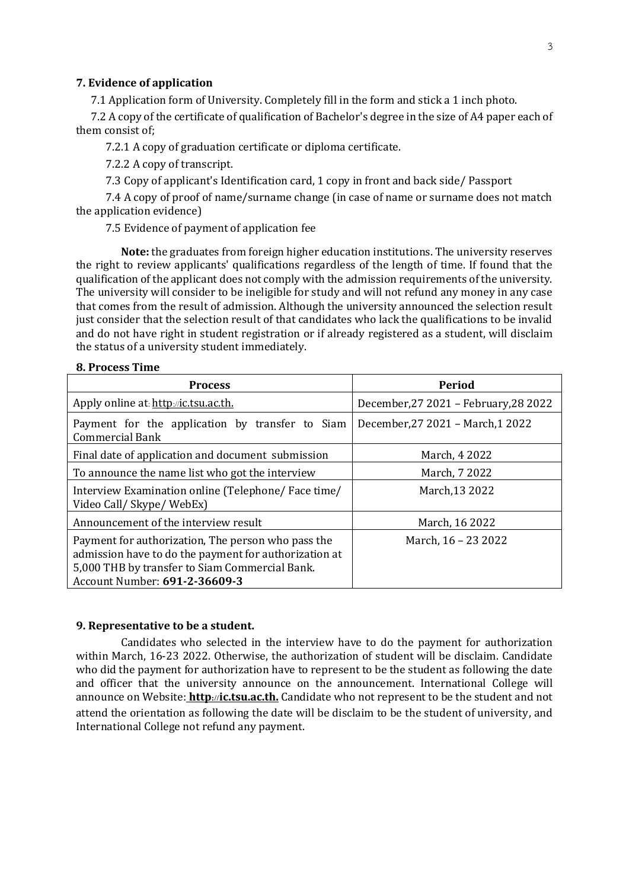### **7. Evidence of application**

7.1 Application form of University. Completely fill in the form and stick a 1 inch photo.

7.2 A copy of the certificate of qualification of Bachelor's degree in the size of A4 paper each of them consist of;

7.2.1 A copy of graduation certificate or diploma certificate.

7.2.2 A copy of transcript.

7.3 Copy of applicant's Identification card, 1 copy in front and back side/ Passport

7.4 A copy of proof of name/surname change (in case of name or surname does not match the application evidence)

7.5 Evidence of payment of application fee

**Note:** the graduates from foreign higher education institutions. The university reserves the right to review applicants' qualifications regardless of the length of time. If found that the qualification of the applicant does not comply with the admission requirements of the university. The university will consider to be ineligible for study and will not refund any money in any case that comes from the result of admission. Although the university announced the selection result just consider that the selection result of that candidates who lack the qualifications to be invalid and do not have right in student registration or if already registered as a student, will disclaim the status of a university student immediately.

## **8. Process Time**

| <b>Process</b>                                                                                                                                                                                 | Period                                |
|------------------------------------------------------------------------------------------------------------------------------------------------------------------------------------------------|---------------------------------------|
| Apply online at http://ic.tsu.ac.th.                                                                                                                                                           | December, 27 2021 - February, 28 2022 |
| Payment for the application by transfer to Siam<br><b>Commercial Bank</b>                                                                                                                      | December, 27 2021 - March, 1 2022     |
| Final date of application and document submission                                                                                                                                              | March, 4 2022                         |
| To announce the name list who got the interview                                                                                                                                                | March, 7 2022                         |
| Interview Examination online (Telephone/Face time/<br>Video Call/ Skype/ WebEx)                                                                                                                | March, 13 2022                        |
| Announcement of the interview result                                                                                                                                                           | March, 16 2022                        |
| Payment for authorization, The person who pass the<br>admission have to do the payment for authorization at<br>5,000 THB by transfer to Siam Commercial Bank.<br>Account Number: 691-2-36609-3 | March, 16 - 23 2022                   |

#### **9. Representative to be a student.**

Candidates who selected in the interview have to do the payment for authorization within March, 16-23 2022. Otherwise, the authorization of student will be disclaim. Candidate who did the payment for authorization have to represent to be the student as following the date and officer that the university announce on the announcement. International College will announce on Website: **[http](http://admission.tsu.ac.th/)://ic.tsu.ac.th.** Candidate who not represent to be the student and not attend the orientation as following the date will be disclaim to be the student of university, and International College not refund any payment.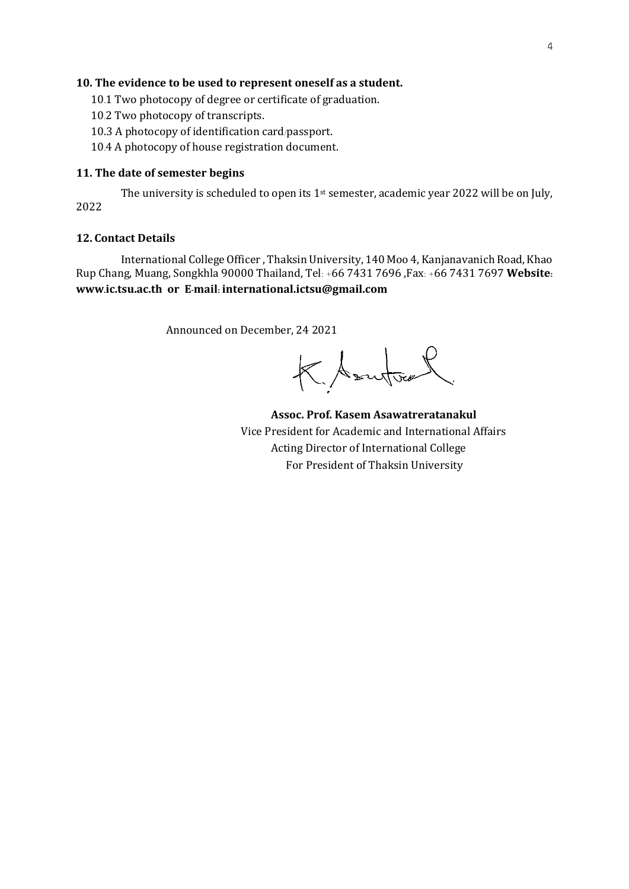## **10. The evidence to be used to represent oneself as a student.**

- 10.1 Two photocopy of degree or certificate of graduation.
- 10.2 Two photocopy of transcripts.
- 10.3 A photocopy of identification card/passport.
- 10.4 A photocopy of house registration document.

## **11. The date of semester begins**

The university is scheduled to open its 1<sup>st</sup> semester, academic year 2022 will be on July, 2022

## **12. Contact Details**

International College Officer , Thaksin University, 140 Moo 4, Kanjanavanich Road, Khao Rup Chang, Muang, Songkhla 90000 Thailand, Tel: +66 7431 7696 ,Fax: +66 7431 7697 **Website: www.ic.tsu.ac.th or E-mail: international.ictsu@gmail.com**

Announced on December, 24 2021

KAsutour

**Assoc. Prof. Kasem Asawatreratanakul**  Vice President for Academic and International Affairs Acting Director of International College For President of Thaksin University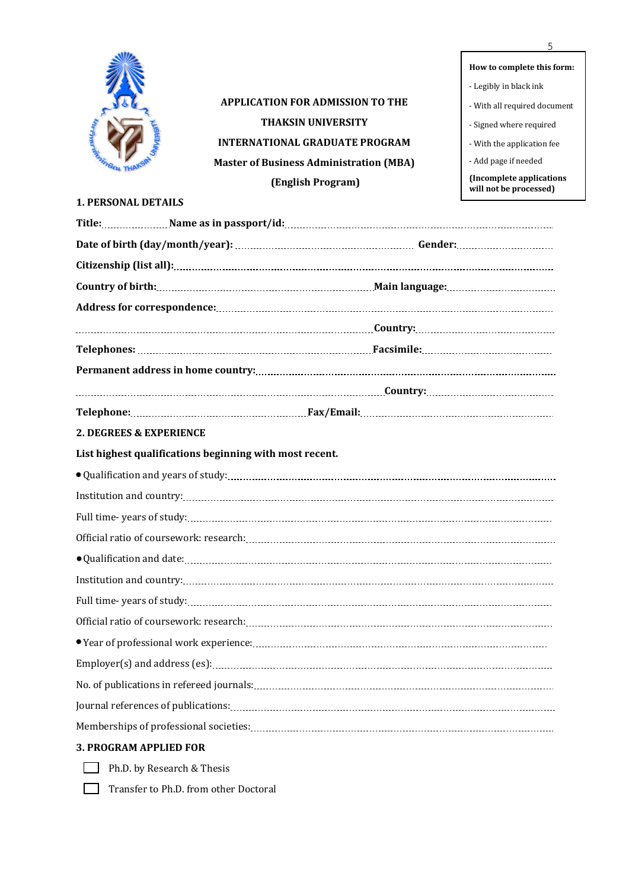

**APPLICATION FOR ADMISSION TO THE THAKSIN UNIVERSITY INTERNATIONAL GRADUATE PROGRAM Master of Business Administration (MBA) (English Program)**

**How to complete this form:** - Legibly in black ink - With all required document - Signed where required - With the application fee - Add page if needed **(Incomplete applications will not be processed)**

## **1. PERSONAL DETAILS**

| 2. DEGREES & EXPERIENCE                                 |  |
|---------------------------------------------------------|--|
| List highest qualifications beginning with most recent. |  |
|                                                         |  |
|                                                         |  |
|                                                         |  |
|                                                         |  |
|                                                         |  |
|                                                         |  |
|                                                         |  |
|                                                         |  |
|                                                         |  |
|                                                         |  |
|                                                         |  |
|                                                         |  |
|                                                         |  |
| <b>3. PROGRAM APPLIED FOR</b>                           |  |

Ph.D. by Research & Thesis

Transfer to Ph.D. from other Doctoral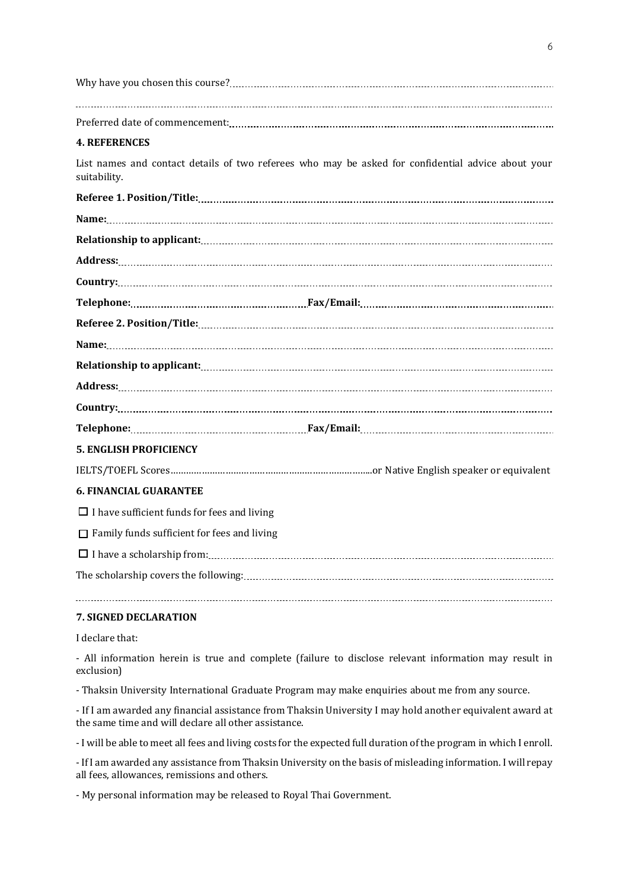| Why have you chosen this course? |  |
|----------------------------------|--|
|                                  |  |
|                                  |  |
|                                  |  |
|                                  |  |

## **4. REFERENCES**

List names and contact details of two referees who may be asked for confidential advice about your suitability.

|                               | $Country: \begin{tabular}{cccccc} \textbf{Country:} & \textbf{0} & \textbf{0} & \textbf{0} & \textbf{0} & \textbf{0} & \textbf{0} & \textbf{0} & \textbf{0} & \textbf{0} & \textbf{0} & \textbf{0} & \textbf{0} & \textbf{0} & \textbf{0} & \textbf{0} & \textbf{0} & \textbf{0} & \textbf{0} & \textbf{0} & \textbf{0} & \textbf{0} & \textbf{0} & \textbf{0} & \textbf{0} & \textbf{0} & \textbf{0} & \textbf{0} & \textbf{0} & \textbf{0$ |
|-------------------------------|----------------------------------------------------------------------------------------------------------------------------------------------------------------------------------------------------------------------------------------------------------------------------------------------------------------------------------------------------------------------------------------------------------------------------------------------|
|                               |                                                                                                                                                                                                                                                                                                                                                                                                                                              |
| <b>5. ENGLISH PROFICIENCY</b> |                                                                                                                                                                                                                                                                                                                                                                                                                                              |
|                               |                                                                                                                                                                                                                                                                                                                                                                                                                                              |
| C PINIANCIAL CHAD ANTER       |                                                                                                                                                                                                                                                                                                                                                                                                                                              |

# **6. FINANCIAL GUARANTEE**

 $\Box$  I have sufficient funds for fees and living

 $\Box$  Family funds sufficient for fees and living

I have a scholarship from:

The scholarship covers the following:

## **7. SIGNED DECLARATION**

I declare that:

- All information herein is true and complete (failure to disclose relevant information may result in exclusion)

- Thaksin University International Graduate Program may make enquiries about me from any source.

- If I am awarded any financial assistance from Thaksin University I may hold another equivalent award at the same time and will declare all other assistance.

- I will be able to meet all fees and living costs for the expected full duration of the program in which I enroll.

- If I am awarded any assistance from Thaksin University on the basis of misleading information. I will repay all fees, allowances, remissions and others.

- My personal information may be released to Royal Thai Government.